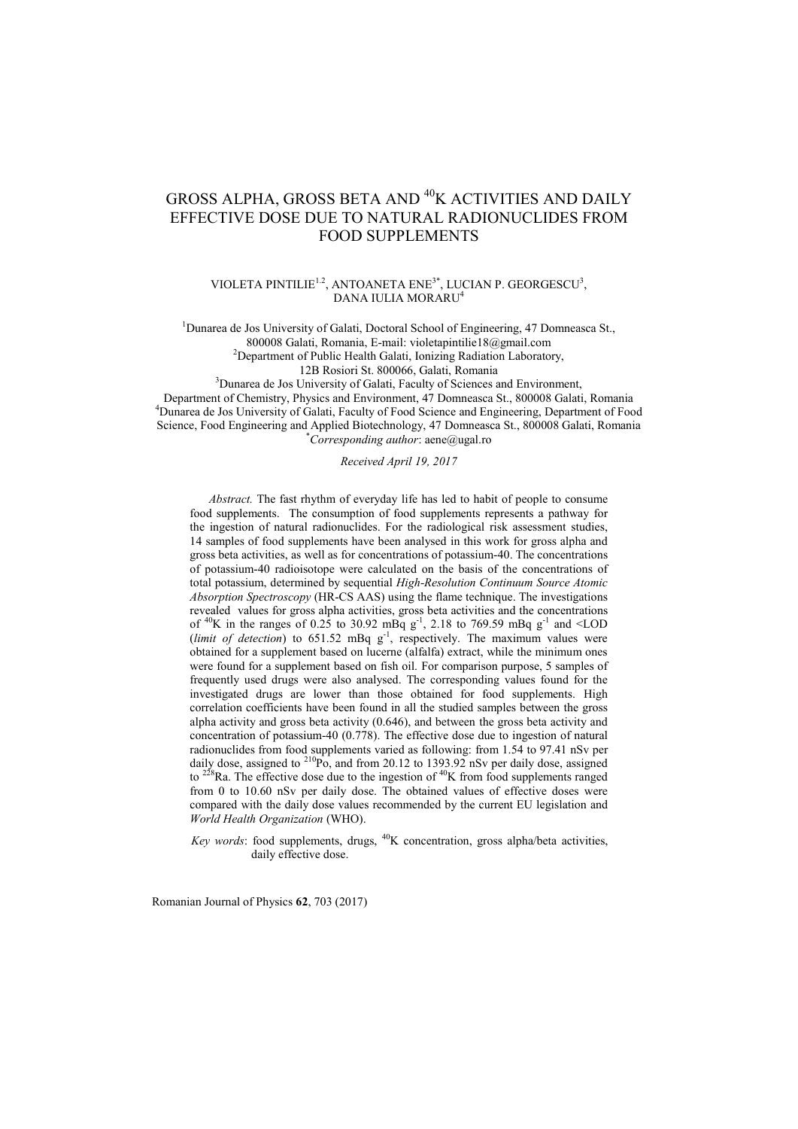# GROSS ALPHA, GROSS BETA AND <sup>40</sup>K ACTIVITIES AND DAILY EFFECTIVE DOSE DUE TO NATURAL RADIONUCLIDES FROM FOOD SUPPLEMENTS

VIOLETA PINTILIE<sup>1.2</sup>, ANTOANETA ENE<sup>3\*</sup>, LUCIAN P. GEORGESCU<sup>3</sup>, DANA IULIA MORARU<sup>4</sup>

<sup>1</sup>Dunarea de Jos University of Galati, Doctoral School of Engineering, 47 Domneasca St., 800008 Galati, Romania, E-mail: violetapintilie18@gmail.com

<sup>2</sup>Department of Public Health Galati, Ionizing Radiation Laboratory,

12B Rosiori St. 800066, Galati, Romania

<sup>3</sup>Dunarea de Jos University of Galati, Faculty of Sciences and Environment,

Department of Chemistry, Physics and Environment, 47 Domneasca St., 800008 Galati, Romania <sup>4</sup>Dunarea de Jos University of Galati, Faculty of Food Science and Engineering, Department of Food Science, Food Engineering and Applied Biotechnology, 47 Domneasca St., 800008 Galati, Romania \**Corresponding author*: aene@ugal.ro

*Received April 19, 2017*

*Abstract.* The fast rhythm of everyday life has led to habit of people to consume food supplements. The consumption of food supplements represents a pathway for the ingestion of natural radionuclides. For the radiological risk assessment studies, 14 samples of food supplements have been analysed in this work for gross alpha and gross beta activities, as well as for concentrations of potassium-40. The concentrations of potassium-40 radioisotope were calculated on the basis of the concentrations of total potassium, determined by sequential *High-Resolution Continuum Source Atomic Absorption Spectroscopy* (HR-CS AAS) using the flame technique. The investigations revealed values for gross alpha activities, gross beta activities and the concentrations of <sup>40</sup>K in the ranges of 0.25 to 30.92 mBq  $g^{-1}$ , 2.18 to 769.59 mBq  $g^{-1}$  and <LOD (*limit of detection*) to  $651.52 \text{ mBq g}^1$ , respectively. The maximum values were obtained for a supplement based on lucerne (alfalfa) extract, while the minimum ones were found for a supplement based on fish oil. For comparison purpose, 5 samples of frequently used drugs were also analysed. The corresponding values found for the investigated drugs are lower than those obtained for food supplements. High correlation coefficients have been found in all the studied samples between the gross alpha activity and gross beta activity (0.646), and between the gross beta activity and concentration of potassium-40 (0.778). The effective dose due to ingestion of natural radionuclides from food supplements varied as following: from 1.54 to 97.41 nSv per daily dose, assigned to <sup>210</sup>Po, and from 20.12 to 1393.92 nSv per daily dose, assigned to  $2^{28}$ Ra. The effective dose due to the ingestion of  $^{40}$ K from food supplements ranged from 0 to 10.60 nSv per daily dose. The obtained values of effective doses were compared with the daily dose values recommended by the current EU legislation and *World Health Organization* (WHO).

*Key words*: food supplements, drugs, <sup>40</sup>K concentration, gross alpha/beta activities, daily effective dose.

Romanian Journal of Physics **62**, 703 (2017)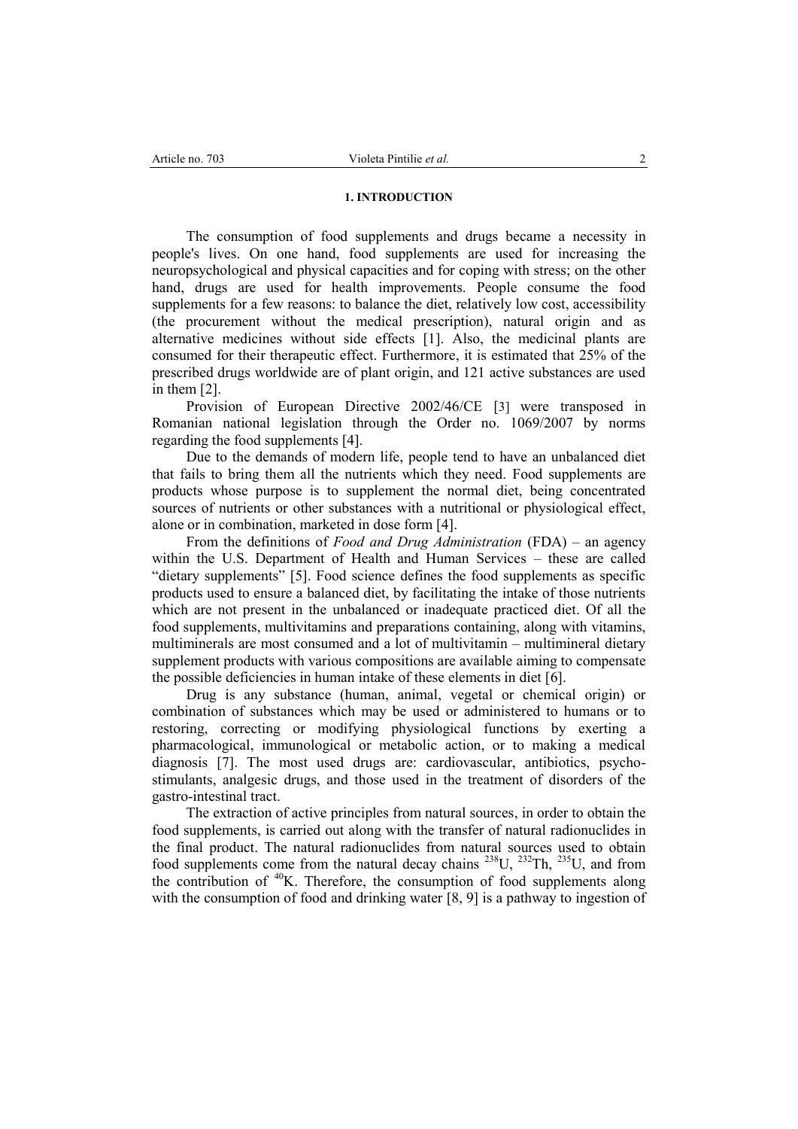# **1. INTRODUCTION**

The consumption of food supplements and drugs became a necessity in people's lives. On one hand, food supplements are used for increasing the neuropsychological and physical capacities and for coping with stress; on the other hand, drugs are used for health improvements. People consume the food supplements for a few reasons: to balance the diet, relatively low cost, accessibility (the procurement without the medical prescription), natural origin and as alternative medicines without side effects [1]. Also, the medicinal plants are consumed for their therapeutic effect. Furthermore, it is estimated that 25% of the prescribed drugs worldwide are of plant origin, and 121 active substances are used in them [2].

Provision of European Directive 2002/46/CE [3] were transposed in Romanian national legislation through the Order no. 1069/2007 by norms regarding the food supplements [4].

Due to the demands of modern life, people tend to have an unbalanced diet that fails to bring them all the nutrients which they need. Food supplements are products whose purpose is to supplement the normal diet, being concentrated sources of nutrients or other substances with a nutritional or physiological effect, alone or in combination, marketed in dose form [4].

From the definitions of *Food and Drug Administration* (FDA) – an agency within the U.S. Department of Health and Human Services – these are called "dietary supplements" [5]. Food science defines the food supplements as specific products used to ensure a balanced diet, by facilitating the intake of those nutrients which are not present in the unbalanced or inadequate practiced diet. Of all the food supplements, multivitamins and preparations containing, along with vitamins, multiminerals are most consumed and a lot of multivitamin – multimineral dietary supplement products with various compositions are available aiming to compensate the possible deficiencies in human intake of these elements in diet [6].

Drug is any substance (human, animal, vegetal or chemical origin) or combination of substances which may be used or administered to humans or to restoring, correcting or modifying physiological functions by exerting a pharmacological, immunological or metabolic action, or to making a medical diagnosis [7]. The most used drugs are: cardiovascular, antibiotics, psychostimulants, analgesic drugs, and those used in the treatment of disorders of the gastro-intestinal tract.

The extraction of active principles from natural sources, in order to obtain the food supplements, is carried out along with the transfer of natural radionuclides in the final product. The natural radionuclides from natural sources used to obtain food supplements come from the natural decay chains  $^{238}$ U,  $^{232}$ Th,  $^{235}$ U, and from the contribution of  $40K$ . Therefore, the consumption of food supplements along with the consumption of food and drinking water [8, 9] is a pathway to ingestion of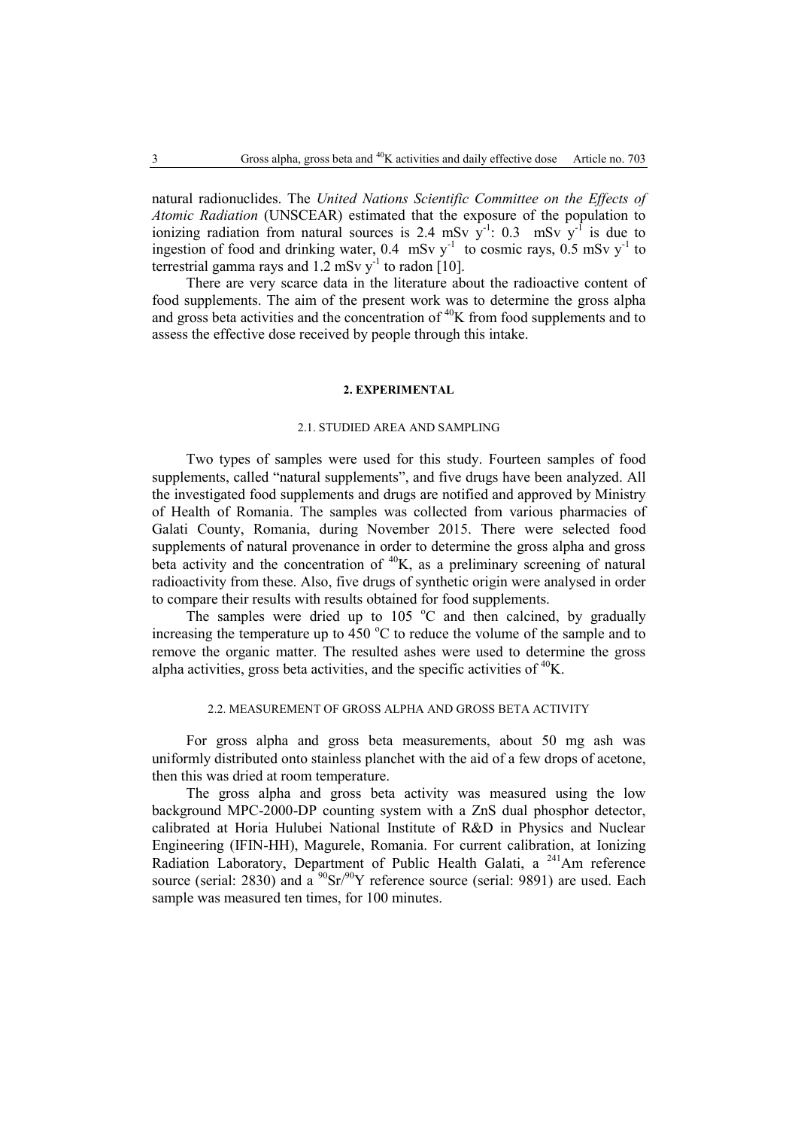natural radionuclides. The *United Nations Scientific Committee on the Effects of Atomic Radiation* (UNSCEAR) estimated that the exposure of the population to ionizing radiation from natural sources is 2.4 mSv  $y^{-1}$ : 0.3 mSv  $y^{-1}$  is due to ingestion of food and drinking water,  $0.4$  mSv y<sup>-1</sup> to cosmic rays,  $0.5$  mSv y<sup>-1</sup> to terrestrial gamma rays and  $1.2 \text{ mSv y}^{-1}$  to radon [10].

There are very scarce data in the literature about the radioactive content of food supplements. The aim of the present work was to determine the gross alpha and gross beta activities and the concentration of  ${}^{40}$ K from food supplements and to assess the effective dose received by people through this intake.

### **2. EXPERIMENTAL**

### 2.1. STUDIED AREA AND SAMPLING

Two types of samples were used for this study. Fourteen samples of food supplements, called "natural supplements", and five drugs have been analyzed. All the investigated food supplements and drugs are notified and approved by Ministry of Health of Romania. The samples was collected from various pharmacies of Galati County, Romania, during November 2015. There were selected food supplements of natural provenance in order to determine the gross alpha and gross beta activity and the concentration of  ${}^{40}K$ , as a preliminary screening of natural radioactivity from these. Also, five drugs of synthetic origin were analysed in order to compare their results with results obtained for food supplements.

The samples were dried up to  $105\degree C$  and then calcined, by gradually increasing the temperature up to 450  $\degree$ C to reduce the volume of the sample and to remove the organic matter. The resulted ashes were used to determine the gross alpha activities, gross beta activities, and the specific activities of  ${}^{40}$ K.

# 2.2. MEASUREMENT OF GROSS ALPHA AND GROSS BETA ACTIVITY

For gross alpha and gross beta measurements, about 50 mg ash was uniformly distributed onto stainless planchet with the aid of a few drops of acetone, then this was dried at room temperature.

The gross alpha and gross beta activity was measured using the low background MPC-2000-DP counting system with a ZnS dual phosphor detector, calibrated at Horia Hulubei National Institute of R&D in Physics and Nuclear Engineering (IFIN-HH), Magurele, Romania. For current calibration, at Ionizing Radiation Laboratory, Department of Public Health Galati, a  $^{241}$ Am reference source (serial: 2830) and a  $^{90}Sr/^{90}Y$  reference source (serial: 9891) are used. Each sample was measured ten times, for 100 minutes.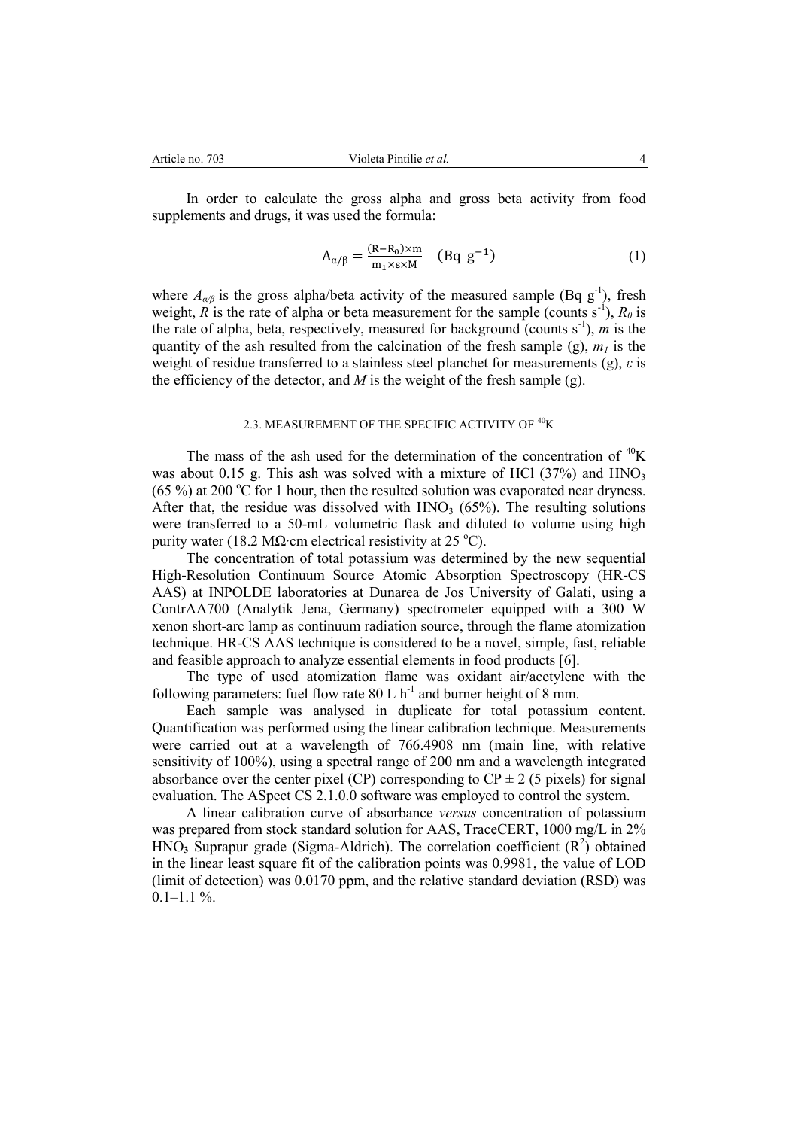In order to calculate the gross alpha and gross beta activity from food supplements and drugs, it was used the formula:

$$
A_{\alpha/\beta} = \frac{(R - R_0) \times m}{m_1 \times \varepsilon \times M} \quad (Bq \ g^{-1})
$$
 (1)

where  $A_{\alpha/\beta}$  is the gross alpha/beta activity of the measured sample (Bq g<sup>-1</sup>), fresh weight, *R* is the rate of alpha or beta measurement for the sample (counts  $s^{-1}$ ),  $R_0$  is the rate of alpha, beta, respectively, measured for background (counts  $s^{-1}$ ), *m* is the quantity of the ash resulted from the calcination of the fresh sample (g),  $m_l$  is the weight of residue transferred to a stainless steel planchet for measurements (g), *ε* is the efficiency of the detector, and  $M$  is the weight of the fresh sample (g).

### 2.3. MEASUREMENT OF THE SPECIFIC ACTIVITY OF <sup>40</sup>K

The mass of the ash used for the determination of the concentration of  ${}^{40}$ K was about 0.15 g. This ash was solved with a mixture of HCl  $(37%)$  and HNO<sub>3</sub> (65 %) at 200 °C for 1 hour, then the resulted solution was evaporated near dryness. After that, the residue was dissolved with  $HNO<sub>3</sub>$  (65%). The resulting solutions were transferred to a 50-mL volumetric flask and diluted to volume using high purity water (18.2 MΩ⋅cm electrical resistivity at 25 °C).

The concentration of total potassium was determined by the new sequential High-Resolution Continuum Source Atomic Absorption Spectroscopy (HR-CS AAS) at INPOLDE laboratories at Dunarea de Jos University of Galati, using a ContrAA700 (Analytik Jena, Germany) spectrometer equipped with a 300 W xenon short-arc lamp as continuum radiation source, through the flame atomization technique. HR-CS AAS technique is considered to be a novel, simple, fast, reliable and feasible approach to analyze essential elements in food products [6].

The type of used atomization flame was oxidant air/acetylene with the following parameters: fuel flow rate  $80$  L  $h^{-1}$  and burner height of 8 mm.

Each sample was analysed in duplicate for total potassium content. Quantification was performed using the linear calibration technique. Measurements were carried out at a wavelength of 766.4908 nm (main line, with relative sensitivity of 100%), using a spectral range of 200 nm and a wavelength integrated absorbance over the center pixel (CP) corresponding to  $\text{CP} \pm 2$  (5 pixels) for signal evaluation. The ASpect CS 2.1.0.0 software was employed to control the system.

A linear calibration curve of absorbance *versus* concentration of potassium was prepared from stock standard solution for AAS, TraceCERT, 1000 mg/L in 2%  $HNO<sub>3</sub>$  Suprapur grade (Sigma-Aldrich). The correlation coefficient  $(R<sup>2</sup>)$  obtained in the linear least square fit of the calibration points was 0.9981, the value of LOD (limit of detection) was 0.0170 ppm, and the relative standard deviation (RSD) was  $0.1-1.1 \%$ .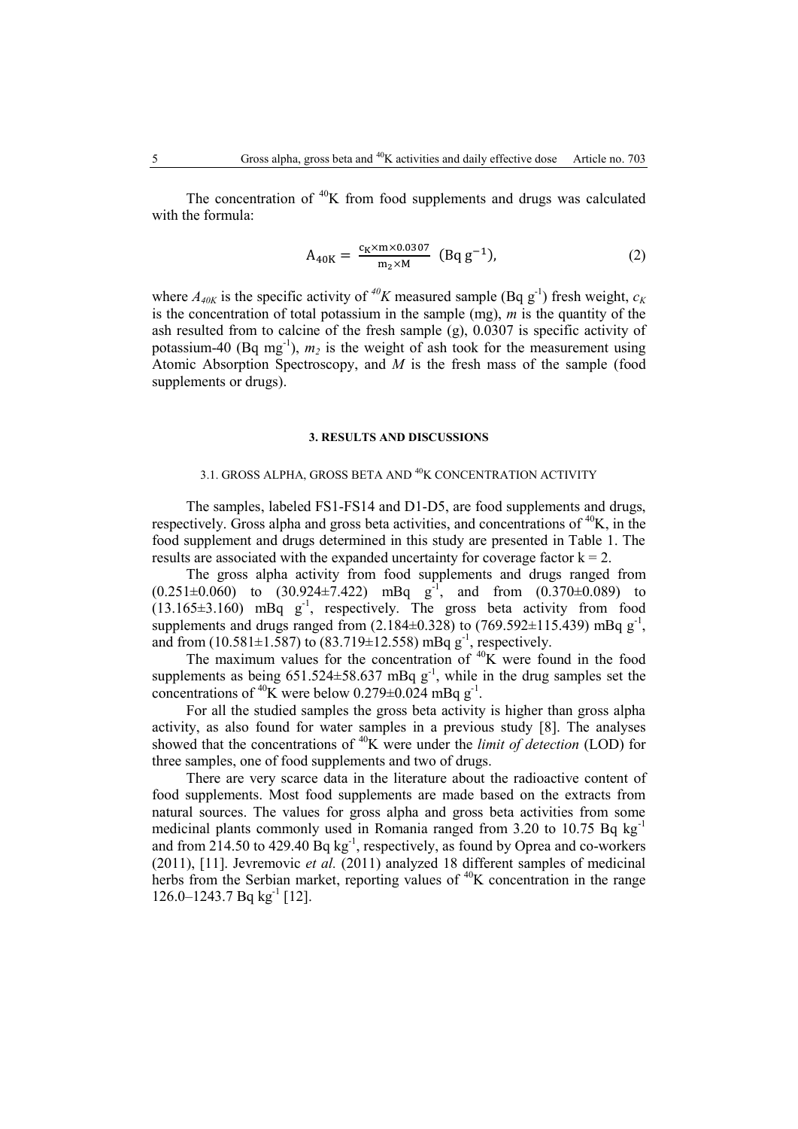The concentration of  $40K$  from food supplements and drugs was calculated with the formula:

$$
A_{40K} = \frac{c_K \times m \times 0.0307}{m_2 \times M} \text{ (Bq g-1)}.
$$
 (2)

where  $A_{40K}$  is the specific activity of <sup>40</sup>*K* measured sample (Bq g<sup>-1</sup>) fresh weight,  $c_K$ is the concentration of total potassium in the sample (mg), *m* is the quantity of the ash resulted from to calcine of the fresh sample (g), 0.0307 is specific activity of potassium-40 (Bq mg<sup>-1</sup>),  $m_2$  is the weight of ash took for the measurement using Atomic Absorption Spectroscopy, and *M* is the fresh mass of the sample (food supplements or drugs).

### **3. RESULTS AND DISCUSSIONS**

# 3.1. GROSS ALPHA, GROSS BETA AND <sup>40</sup>K CONCENTRATION ACTIVITY

The samples, labeled FS1-FS14 and D1-D5, are food supplements and drugs, respectively. Gross alpha and gross beta activities, and concentrations of  ${}^{40}K$ , in the food supplement and drugs determined in this study are presented in Table 1. The results are associated with the expanded uncertainty for coverage factor  $k = 2$ .

The gross alpha activity from food supplements and drugs ranged from  $(0.251 \pm 0.060)$  to  $(30.924 \pm 7.422)$  mBq  $g^{-1}$ , and from  $(0.370 \pm 0.089)$  to  $(13.165\pm3.160)$  mBq  $g^{-1}$ , respectively. The gross beta activity from food supplements and drugs ranged from  $(2.184\pm0.328)$  to  $(769.592\pm115.439)$  mBq g<sup>-1</sup>, and from  $(10.581 \pm 1.587)$  to  $(83.719 \pm 12.558)$  mBq g<sup>-1</sup>, respectively.

The maximum values for the concentration of  $40K$  were found in the food supplements as being  $651.524 \pm 58.637$  mBq g<sup>-1</sup>, while in the drug samples set the concentrations of <sup>40</sup>K were below 0.279 $\pm$ 0.024 mBq g<sup>-1</sup>.

For all the studied samples the gross beta activity is higher than gross alpha activity, as also found for water samples in a previous study [8]. The analyses showed that the concentrations of <sup>40</sup>K were under the *limit of detection* (LOD) for three samples, one of food supplements and two of drugs.

There are very scarce data in the literature about the radioactive content of food supplements. Most food supplements are made based on the extracts from natural sources. The values for gross alpha and gross beta activities from some medicinal plants commonly used in Romania ranged from 3.20 to 10.75 Bq kg<sup>-1</sup> and from  $214.50$  to  $429.40$  Bq kg<sup>-1</sup>, respectively, as found by Oprea and co-workers (2011), [11]. Jevremovic *et al.* (2011) analyzed 18 different samples of medicinal herbs from the Serbian market, reporting values of  ${}^{40}$ K concentration in the range  $126.0 - 1243.7$  Bq kg<sup>-1</sup> [12].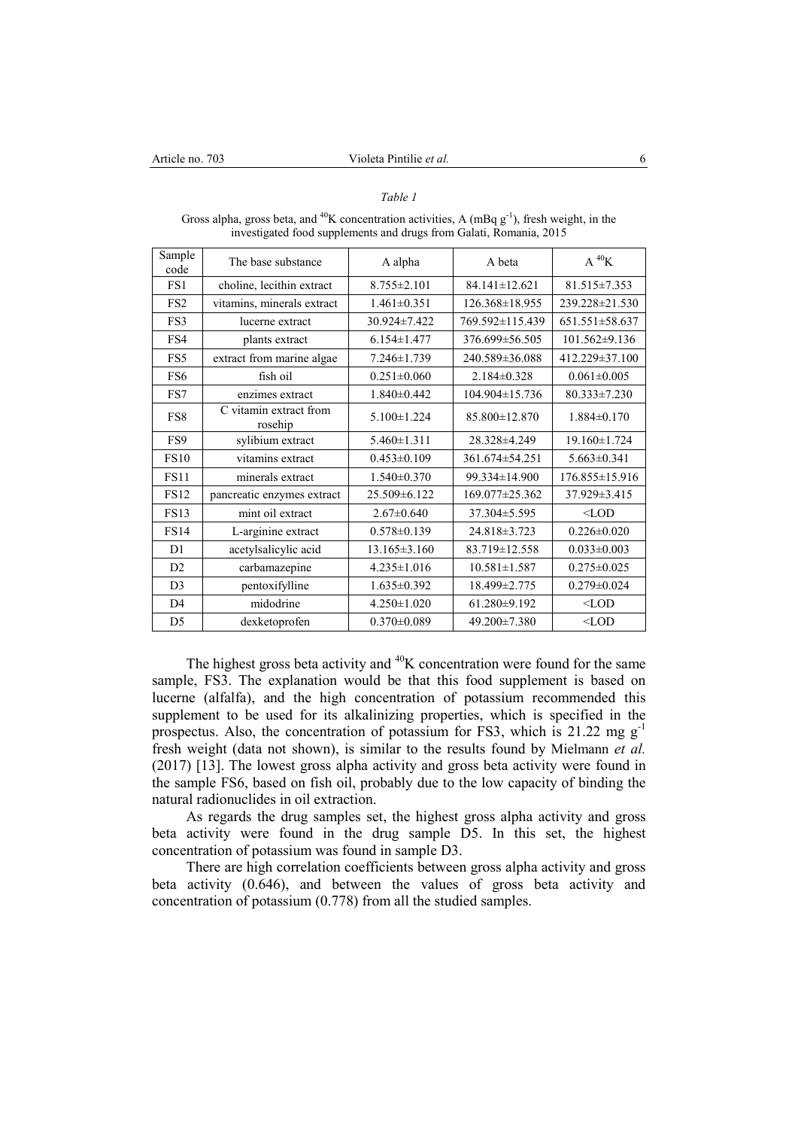# *Table 1*

| mvestigated tood supprements and drugs from Galati, reomania, 2015 |                                   |                   |                     |                      |  |  |
|--------------------------------------------------------------------|-----------------------------------|-------------------|---------------------|----------------------|--|--|
| Sample<br>code                                                     | The base substance                | A alpha           | A beta              | A $^{40}$ K          |  |  |
| FS1                                                                | choline, lecithin extract         | $8.755 \pm 2.101$ | $84.141 \pm 12.621$ | $81.515 \pm 7.353$   |  |  |
| FS <sub>2</sub>                                                    | vitamins, minerals extract        | $1.461 \pm 0.351$ | 126.368±18.955      | 239.228±21.530       |  |  |
| FS3                                                                | lucerne extract                   | 30.924±7.422      | 769.592±115.439     | $651.551 \pm 58.637$ |  |  |
| FS4                                                                | plants extract                    | $6.154 \pm 1.477$ | 376.699±56.505      | $101.562 \pm 9.136$  |  |  |
| FS5                                                                | extract from marine algae         | $7.246 \pm 1.739$ | 240.589±36.088      | 412.229 ± 37.100     |  |  |
| FS6                                                                | fish oil                          | $0.251 \pm 0.060$ | $2.184\pm0.328$     | $0.061 \pm 0.005$    |  |  |
| FS7                                                                | enzimes extract                   | $1.840\pm0.442$   | 104.904±15.736      | 80.333±7.230         |  |  |
| FS8                                                                | C vitamin extract from<br>rosehip | $5.100 \pm 1.224$ | 85.800±12.870       | $1.884\pm0.170$      |  |  |
| FS9                                                                | sylibium extract                  | $5.460 \pm 1.311$ | 28.328±4.249        | 19.160±1.724         |  |  |
| <b>FS10</b>                                                        | vitamins extract                  | $0.453\pm0.109$   | $361.674\pm54.251$  | $5.663\pm0.341$      |  |  |
| <b>FS11</b>                                                        | minerals extract                  | $1.540 \pm 0.370$ | 99.334±14.900       | 176.855±15.916       |  |  |
| <b>FS12</b>                                                        | pancreatic enzymes extract        | 25.509 ± 6.122    | 169.077±25.362      | 37.929±3.415         |  |  |
| <b>FS13</b>                                                        | mint oil extract                  | $2.67 \pm 0.640$  | 37.304 ± 5.595      | $<$ LOD              |  |  |
| <b>FS14</b>                                                        | L-arginine extract                | $0.578 \pm 0.139$ | 24.818 ± 3.723      | $0.226 \pm 0.020$    |  |  |
| D <sub>1</sub>                                                     | acetylsalicylic acid              | 13.165 ± 3.160    | 83.719±12.558       | $0.033 \pm 0.003$    |  |  |
| D2                                                                 | carbamazepine                     | $4.235 \pm 1.016$ | $10.581 \pm 1.587$  | $0.275 \pm 0.025$    |  |  |
| D <sub>3</sub>                                                     | pentoxifylline                    | $1.635 \pm 0.392$ | 18.499±2.775        | $0.279 \pm 0.024$    |  |  |
| D4                                                                 | midodrine                         | $4.250 \pm 1.020$ | $61.280 \pm 9.192$  | $<$ LOD              |  |  |
| D <sub>5</sub>                                                     | dexketoprofen                     | $0.370 \pm 0.089$ | 49.200±7.380        | $<$ LOD              |  |  |

Gross alpha, gross beta, and <sup>40</sup>K concentration activities, A (mBq  $g^{-1}$ ), fresh weight, in the investigated food supplements and drugs from Galati, Romania, 2015

The highest gross beta activity and  ${}^{40}$ K concentration were found for the same sample, FS3. The explanation would be that this food supplement is based on lucerne (alfalfa), and the high concentration of potassium recommended this supplement to be used for its alkalinizing properties, which is specified in the prospectus. Also, the concentration of potassium for FS3, which is  $21.22 \text{ mg g}^{-1}$ fresh weight (data not shown), is similar to the results found by Mielmann *et al.* (2017) [13]. The lowest gross alpha activity and gross beta activity were found in the sample FS6, based on fish oil, probably due to the low capacity of binding the natural radionuclides in oil extraction.

As regards the drug samples set, the highest gross alpha activity and gross beta activity were found in the drug sample D5. In this set, the highest concentration of potassium was found in sample D3.

There are high correlation coefficients between gross alpha activity and gross beta activity (0.646), and between the values of gross beta activity and concentration of potassium (0.778) from all the studied samples.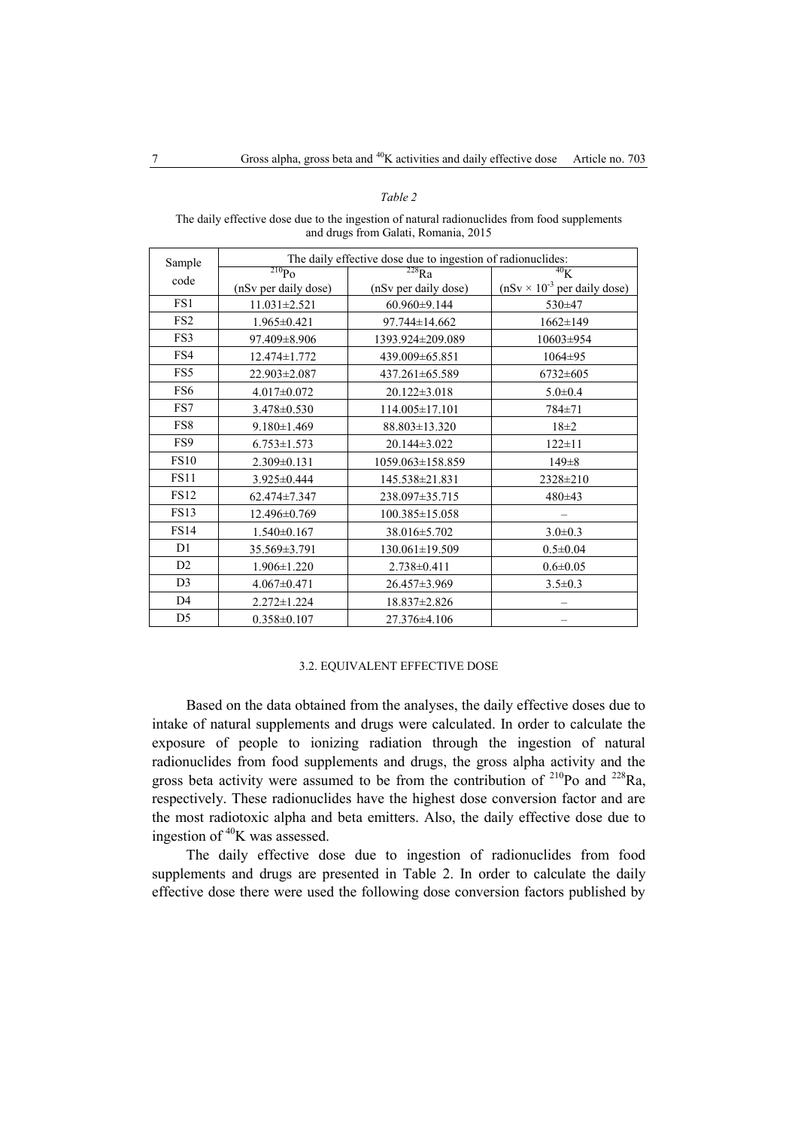### *Table 2*

The daily effective dose due to the ingestion of natural radionuclides from food supplements and drugs from Galati, Romania, 2015

| Sample          | The daily effective dose due to ingestion of radionuclides: |                              |                                               |  |
|-----------------|-------------------------------------------------------------|------------------------------|-----------------------------------------------|--|
|                 | $^{210}Po$                                                  | $\overline{^{228}\text{Ra}}$ | $^{40}$ K                                     |  |
| code            | (nSv per daily dose)                                        | (nSv per daily dose)         | $(nSv \times 10^{-3} \text{ per daily dose})$ |  |
| FS1             | $11.031 \pm 2.521$                                          | 60.960±9.144                 | $530+47$                                      |  |
| FS <sub>2</sub> | $1.965 \pm 0.421$                                           | 97.744±14.662                | $1662 \pm 149$                                |  |
| FS3             | 97.409 ± 8.906                                              | 1393.924±209.089             | $10603 \pm 954$                               |  |
| FS4             | $12.474 \pm 1.772$                                          | 439.009 ± 65.851             | $1064 \pm 95$                                 |  |
| FS5             | 22.903±2.087                                                | 437.261±65.589               | $6732 \pm 605$                                |  |
| FS6             | $4.017 \pm 0.072$                                           | $20.122 \pm 3.018$           | $5.0 \pm 0.4$                                 |  |
| FS7             | $3.478 \pm 0.530$                                           | 114.005±17.101               | 784±71                                        |  |
| FS8             | $9.180 \pm 1.469$                                           | 88.803±13.320                | $18\pm2$                                      |  |
| FS9             | $6.753 \pm 1.573$                                           | $20.144\pm3.022$             | $122 \pm 11$                                  |  |
| <b>FS10</b>     | $2.309 \pm 0.131$                                           | $1059.063 \pm 158.859$       | $149 \pm 8$                                   |  |
| <b>FS11</b>     | $3.925 \pm 0.444$                                           | 145.538±21.831               | $2328 \pm 210$                                |  |
| <b>FS12</b>     | $62.474 \pm 7.347$                                          | 238.097±35.715               | $480\pm43$                                    |  |
| <b>FS13</b>     | $12.496\pm0.769$                                            | 100.385±15.058               |                                               |  |
| <b>FS14</b>     | $1.540\pm0.167$                                             | 38.016 ± 5.702               | $3.0 \pm 0.3$                                 |  |
| D <sub>1</sub>  | 35.569±3.791                                                | 130.061±19.509               | $0.5 \pm 0.04$                                |  |
| D2              | $1.906 \pm 1.220$                                           | 2.738±0.411                  | $0.6 \pm 0.05$                                |  |
| D <sub>3</sub>  | $4.067 \pm 0.471$                                           | 26.457±3.969                 | $3.5 \pm 0.3$                                 |  |
| D <sub>4</sub>  | $2.272 \pm 1.224$                                           | 18.837±2.826                 |                                               |  |
| D <sub>5</sub>  | $0.358 \pm 0.107$                                           | $27.376\pm4.106$             |                                               |  |

# 3.2. EQUIVALENT EFFECTIVE DOSE

Based on the data obtained from the analyses, the daily effective doses due to intake of natural supplements and drugs were calculated. In order to calculate the exposure of people to ionizing radiation through the ingestion of natural radionuclides from food supplements and drugs, the gross alpha activity and the gross beta activity were assumed to be from the contribution of  $^{210}$ Po and  $^{228}$ Ra, respectively. These radionuclides have the highest dose conversion factor and are the most radiotoxic alpha and beta emitters. Also, the daily effective dose due to ingestion of <sup>40</sup>K was assessed.

The daily effective dose due to ingestion of radionuclides from food supplements and drugs are presented in Table 2. In order to calculate the daily effective dose there were used the following dose conversion factors published by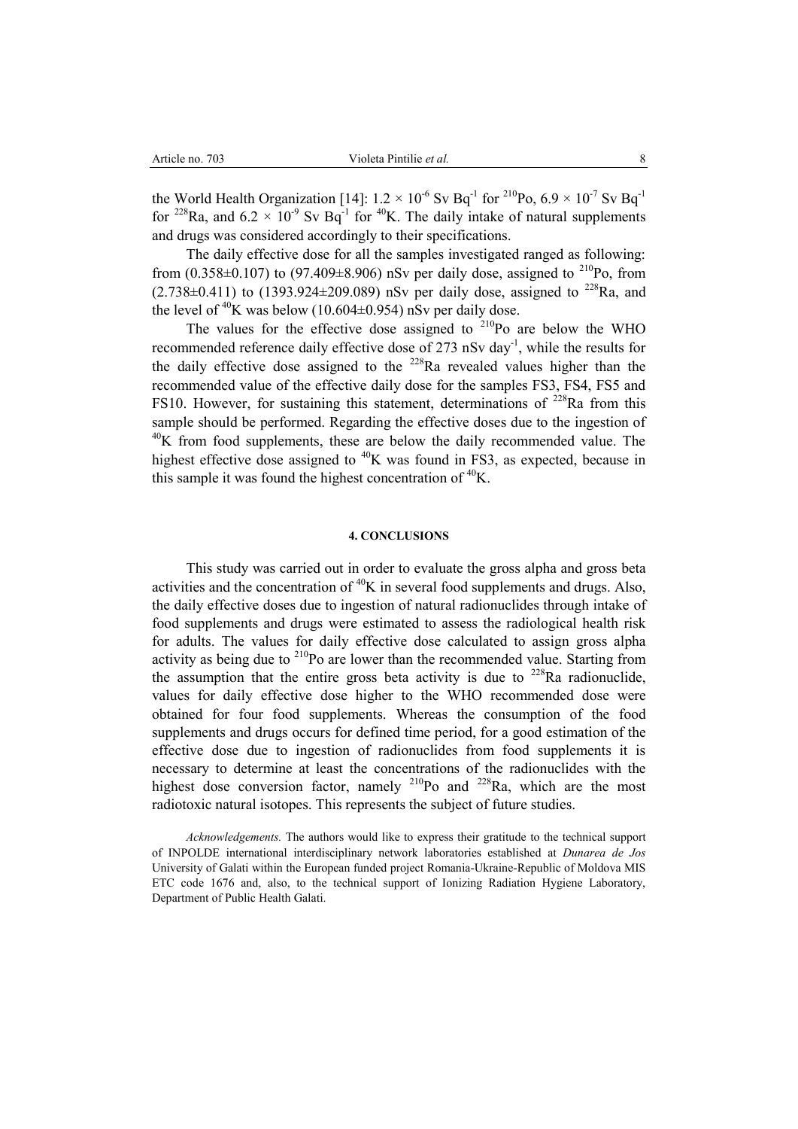the World Health Organization [14]:  $1.2 \times 10^{-6}$  Sv Bq<sup>-1</sup> for <sup>210</sup>Po,  $6.9 \times 10^{-7}$  Sv Bq<sup>-1</sup> for <sup>228</sup>Ra, and  $6.2 \times 10^{-9}$  Sv Bq<sup>-1</sup> for <sup>40</sup>K. The daily intake of natural supplements and drugs was considered accordingly to their specifications.

The daily effective dose for all the samples investigated ranged as following: from (0.358 $\pm$ 0.107) to (97.409 $\pm$ 8.906) nSv per daily dose, assigned to <sup>210</sup>Po, from  $(2.738\pm0.411)$  to  $(1393.924\pm209.089)$  nSv per daily dose, assigned to <sup>228</sup>Ra, and the level of  ${}^{40}$ K was below (10.604±0.954) nSv per daily dose.

The values for the effective dose assigned to  $^{210}$ Po are below the WHO recommended reference daily effective dose of 273 nSv day<sup>-1</sup>, while the results for the daily effective dose assigned to the  $^{228}$ Ra revealed values higher than the recommended value of the effective daily dose for the samples FS3, FS4, FS5 and FS10. However, for sustaining this statement, determinations of  $^{228}$ Ra from this sample should be performed. Regarding the effective doses due to the ingestion of  $40K$  from food supplements, these are below the daily recommended value. The highest effective dose assigned to <sup>40</sup>K was found in FS3, as expected, because in this sample it was found the highest concentration of  ${}^{40}$ K.

### **4. CONCLUSIONS**

This study was carried out in order to evaluate the gross alpha and gross beta activities and the concentration of  ${}^{40}$ K in several food supplements and drugs. Also, the daily effective doses due to ingestion of natural radionuclides through intake of food supplements and drugs were estimated to assess the radiological health risk for adults. The values for daily effective dose calculated to assign gross alpha activity as being due to  $^{210}$ Po are lower than the recommended value. Starting from the assumption that the entire gross beta activity is due to  $228$ Ra radionuclide, values for daily effective dose higher to the WHO recommended dose were obtained for four food supplements. Whereas the consumption of the food supplements and drugs occurs for defined time period, for a good estimation of the effective dose due to ingestion of radionuclides from food supplements it is necessary to determine at least the concentrations of the radionuclides with the highest dose conversion factor, namely  $^{210}$ Po and  $^{228}$ Ra, which are the most radiotoxic natural isotopes. This represents the subject of future studies.

*Acknowledgements.* The authors would like to express their gratitude to the technical support of INPOLDE international interdisciplinary network laboratories established at *Dunarea de Jos* University of Galati within the European funded project Romania-Ukraine-Republic of Moldova MIS ETC code 1676 and, also, to the technical support of Ionizing Radiation Hygiene Laboratory, Department of Public Health Galati.